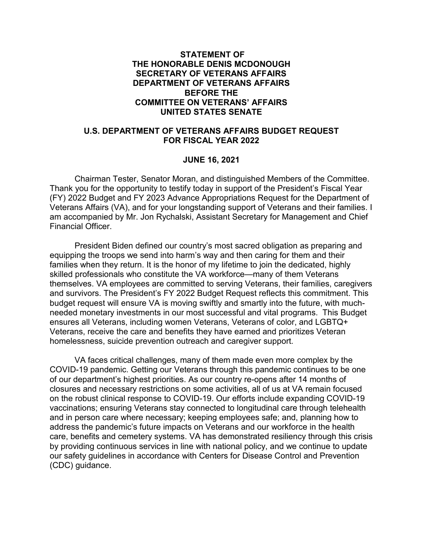#### **STATEMENT OF THE HONORABLE DENIS MCDONOUGH SECRETARY OF VETERANS AFFAIRS DEPARTMENT OF VETERANS AFFAIRS BEFORE THE COMMITTEE ON VETERANS' AFFAIRS UNITED STATES SENATE**

#### **U.S. DEPARTMENT OF VETERANS AFFAIRS BUDGET REQUEST FOR FISCAL YEAR 2022**

#### **JUNE 16, 2021**

Chairman Tester, Senator Moran, and distinguished Members of the Committee. Thank you for the opportunity to testify today in support of the President's Fiscal Year (FY) 2022 Budget and FY 2023 Advance Appropriations Request for the Department of Veterans Affairs (VA), and for your longstanding support of Veterans and their families. I am accompanied by Mr. Jon Rychalski, Assistant Secretary for Management and Chief Financial Officer.

President Biden defined our country's most sacred obligation as preparing and equipping the troops we send into harm's way and then caring for them and their families when they return. It is the honor of my lifetime to join the dedicated, highly skilled professionals who constitute the VA workforce—many of them Veterans themselves. VA employees are committed to serving Veterans, their families, caregivers and survivors. The President's FY 2022 Budget Request reflects this commitment. This budget request will ensure VA is moving swiftly and smartly into the future, with muchneeded monetary investments in our most successful and vital programs. This Budget ensures all Veterans, including women Veterans, Veterans of color, and LGBTQ+ Veterans, receive the care and benefits they have earned and prioritizes Veteran homelessness, suicide prevention outreach and caregiver support.

VA faces critical challenges, many of them made even more complex by the COVID-19 pandemic. Getting our Veterans through this pandemic continues to be one of our department's highest priorities. As our country re-opens after 14 months of closures and necessary restrictions on some activities, all of us at VA remain focused on the robust clinical response to COVID-19. Our efforts include expanding COVID-19 vaccinations; ensuring Veterans stay connected to longitudinal care through telehealth and in person care where necessary; keeping employees safe; and, planning how to address the pandemic's future impacts on Veterans and our workforce in the health care, benefits and cemetery systems. VA has demonstrated resiliency through this crisis by providing continuous services in line with national policy, and we continue to update our safety guidelines in accordance with Centers for Disease Control and Prevention (CDC) guidance.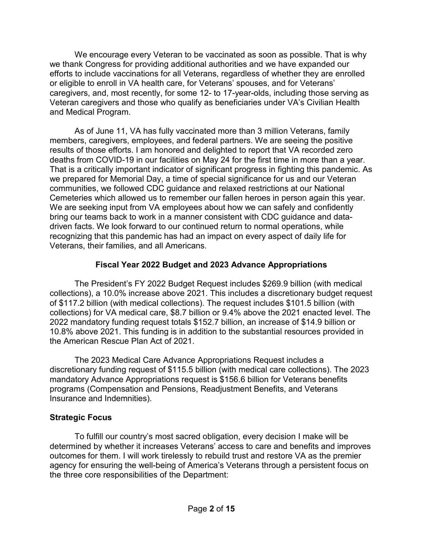We encourage every Veteran to be vaccinated as soon as possible. That is why we thank Congress for providing additional authorities and we have expanded our efforts to include vaccinations for all Veterans, regardless of whether they are enrolled or eligible to enroll in VA health care, for Veterans' spouses, and for Veterans' caregivers, and, most recently, for some 12- to 17-year-olds, including those serving as Veteran caregivers and those who qualify as beneficiaries under VA's Civilian Health and Medical Program.

As of June 11, VA has fully vaccinated more than 3 million Veterans, family members, caregivers, employees, and federal partners. We are seeing the positive results of those efforts. I am honored and delighted to report that VA recorded zero deaths from COVID-19 in our facilities on May 24 for the first time in more than a year. That is a critically important indicator of significant progress in fighting this pandemic. As we prepared for Memorial Day, a time of special significance for us and our Veteran communities, we followed CDC guidance and relaxed restrictions at our National Cemeteries which allowed us to remember our fallen heroes in person again this year. We are seeking input from VA employees about how we can safely and confidently bring our teams back to work in a manner consistent with CDC guidance and datadriven facts. We look forward to our continued return to normal operations, while recognizing that this pandemic has had an impact on every aspect of daily life for Veterans, their families, and all Americans.

## **Fiscal Year 2022 Budget and 2023 Advance Appropriations**

The President's FY 2022 Budget Request includes \$269.9 billion (with medical collections), a 10.0% increase above 2021. This includes a discretionary budget request of \$117.2 billion (with medical collections). The request includes \$101.5 billion (with collections) for VA medical care, \$8.7 billion or 9.4% above the 2021 enacted level. The 2022 mandatory funding request totals \$152.7 billion, an increase of \$14.9 billion or 10.8% above 2021. This funding is in addition to the substantial resources provided in the American Rescue Plan Act of 2021.

The 2023 Medical Care Advance Appropriations Request includes a discretionary funding request of \$115.5 billion (with medical care collections). The 2023 mandatory Advance Appropriations request is \$156.6 billion for Veterans benefits programs (Compensation and Pensions, Readjustment Benefits, and Veterans Insurance and Indemnities).

#### **Strategic Focus**

To fulfill our country's most sacred obligation, every decision I make will be determined by whether it increases Veterans' access to care and benefits and improves outcomes for them. I will work tirelessly to rebuild trust and restore VA as the premier agency for ensuring the well-being of America's Veterans through a persistent focus on the three core responsibilities of the Department: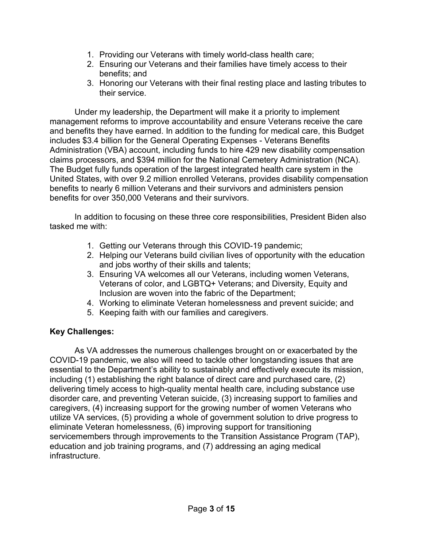- 1. Providing our Veterans with timely world-class health care;
- 2. Ensuring our Veterans and their families have timely access to their benefits; and
- 3. Honoring our Veterans with their final resting place and lasting tributes to their service.

Under my leadership, the Department will make it a priority to implement management reforms to improve accountability and ensure Veterans receive the care and benefits they have earned. In addition to the funding for medical care, this Budget includes \$3.4 billion for the General Operating Expenses - Veterans Benefits Administration (VBA) account, including funds to hire 429 new disability compensation claims processors, and \$394 million for the National Cemetery Administration (NCA). The Budget fully funds operation of the largest integrated health care system in the United States, with over 9.2 million enrolled Veterans, provides disability compensation benefits to nearly 6 million Veterans and their survivors and administers pension benefits for over 350,000 Veterans and their survivors.

In addition to focusing on these three core responsibilities, President Biden also tasked me with:

- 1. Getting our Veterans through this COVID-19 pandemic;
- 2. Helping our Veterans build civilian lives of opportunity with the education and jobs worthy of their skills and talents;
- 3. Ensuring VA welcomes all our Veterans, including women Veterans, Veterans of color, and LGBTQ+ Veterans; and Diversity, Equity and Inclusion are woven into the fabric of the Department;
- 4. Working to eliminate Veteran homelessness and prevent suicide; and
- 5. Keeping faith with our families and caregivers.

# **Key Challenges:**

As VA addresses the numerous challenges brought on or exacerbated by the COVID-19 pandemic, we also will need to tackle other longstanding issues that are essential to the Department's ability to sustainably and effectively execute its mission, including (1) establishing the right balance of direct care and purchased care, (2) delivering timely access to high-quality mental health care, including substance use disorder care, and preventing Veteran suicide, (3) increasing support to families and caregivers, (4) increasing support for the growing number of women Veterans who utilize VA services, (5) providing a whole of government solution to drive progress to eliminate Veteran homelessness, (6) improving support for transitioning servicemembers through improvements to the Transition Assistance Program (TAP), education and job training programs, and (7) addressing an aging medical infrastructure.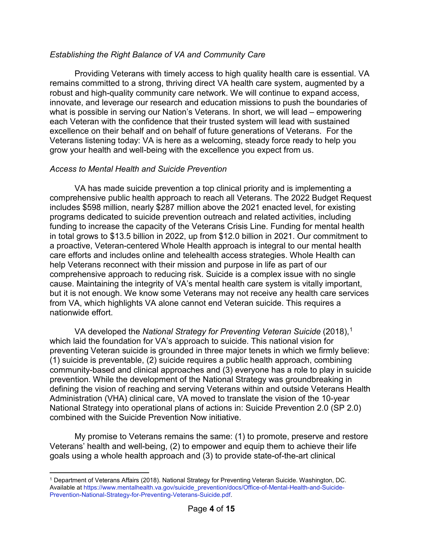#### *Establishing the Right Balance of VA and Community Care*

Providing Veterans with timely access to high quality health care is essential. VA remains committed to a strong, thriving direct VA health care system, augmented by a robust and high-quality community care network. We will continue to expand access, innovate, and leverage our research and education missions to push the boundaries of what is possible in serving our Nation's Veterans. In short, we will lead – empowering each Veteran with the confidence that their trusted system will lead with sustained excellence on their behalf and on behalf of future generations of Veterans. For the Veterans listening today: VA is here as a welcoming, steady force ready to help you grow your health and well-being with the excellence you expect from us.

## *Access to Mental Health and Suicide Prevention*

VA has made suicide prevention a top clinical priority and is implementing a comprehensive public health approach to reach all Veterans. The 2022 Budget Request includes \$598 million, nearly \$287 million above the 2021 enacted level, for existing programs dedicated to suicide prevention outreach and related activities, including funding to increase the capacity of the Veterans Crisis Line. Funding for mental health in total grows to \$13.5 billion in 2022, up from \$12.0 billion in 2021. Our commitment to a proactive, Veteran-centered Whole Health approach is integral to our mental health care efforts and includes online and telehealth access strategies. Whole Health can help Veterans reconnect with their mission and purpose in life as part of our comprehensive approach to reducing risk. Suicide is a complex issue with no single cause. Maintaining the integrity of VA's mental health care system is vitally important, but it is not enough. We know some Veterans may not receive any health care services from VA, which highlights VA alone cannot end Veteran suicide. This requires a nationwide effort.

VA developed the *National Strategy for Preventing Veteran Suicide* (2018), [1](#page-3-0) which laid the foundation for VA's approach to suicide. This national vision for preventing Veteran suicide is grounded in three major tenets in which we firmly believe: (1) suicide is preventable, (2) suicide requires a public health approach, combining community-based and clinical approaches and (3) everyone has a role to play in suicide prevention. While the development of the National Strategy was groundbreaking in defining the vision of reaching and serving Veterans within and outside Veterans Health Administration (VHA) clinical care, VA moved to translate the vision of the 10-year National Strategy into operational plans of actions in: Suicide Prevention 2.0 (SP 2.0) combined with the Suicide Prevention Now initiative.

My promise to Veterans remains the same: (1) to promote, preserve and restore Veterans' health and well-being, (2) to empower and equip them to achieve their life goals using a whole health approach and (3) to provide state-of-the-art clinical

<span id="page-3-0"></span> $\overline{a}$ <sup>1</sup> Department of Veterans Affairs (2018). National Strategy for Preventing Veteran Suicide. Washington, DC. Available at [https://www.mentalhealth.va.gov/suicide\\_prevention/docs/Office-of-Mental-Health-and-Suicide-](https://www.mentalhealth.va.gov/suicide_prevention/docs/Office-of-Mental-Health-and-Suicide-Prevention-National-Strategy-for-Preventing-Veterans-Suicide.pdf)[Prevention-National-Strategy-for-Preventing-Veterans-Suicide.pdf.](https://www.mentalhealth.va.gov/suicide_prevention/docs/Office-of-Mental-Health-and-Suicide-Prevention-National-Strategy-for-Preventing-Veterans-Suicide.pdf)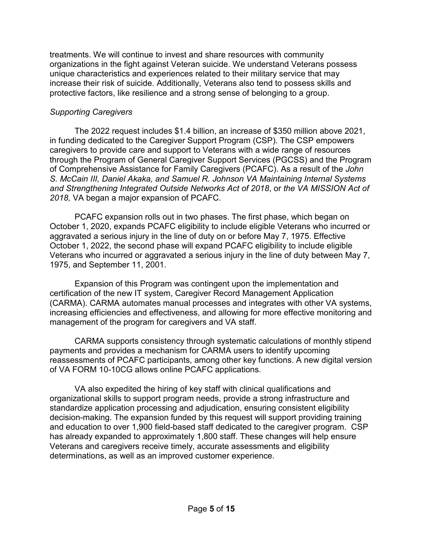treatments. We will continue to invest and share resources with community organizations in the fight against Veteran suicide. We understand Veterans possess unique characteristics and experiences related to their military service that may increase their risk of suicide. Additionally, Veterans also tend to possess skills and protective factors, like resilience and a strong sense of belonging to a group.

#### *Supporting Caregivers*

The 2022 request includes \$1.4 billion, an increase of \$350 million above 2021, in funding dedicated to the Caregiver Support Program (CSP). The CSP empowers caregivers to provide care and support to Veterans with a wide range of resources through the Program of General Caregiver Support Services (PGCSS) and the Program of Comprehensive Assistance for Family Caregivers (PCAFC). As a result of the *John S. McCain III, Daniel Akaka, and Samuel R. Johnson VA Maintaining Internal Systems and Strengthening Integrated Outside Networks Act of 2018*, or *the VA MISSION Act of 2018,* VA began a major expansion of PCAFC.

PCAFC expansion rolls out in two phases. The first phase, which began on October 1, 2020, expands PCAFC eligibility to include eligible Veterans who incurred or aggravated a serious injury in the line of duty on or before May 7, 1975. Effective October 1, 2022, the second phase will expand PCAFC eligibility to include eligible Veterans who incurred or aggravated a serious injury in the line of duty between May 7, 1975, and September 11, 2001.

Expansion of this Program was contingent upon the implementation and certification of the new IT system, Caregiver Record Management Application (CARMA). CARMA automates manual processes and integrates with other VA systems, increasing efficiencies and effectiveness, and allowing for more effective monitoring and management of the program for caregivers and VA staff.

CARMA supports consistency through systematic calculations of monthly stipend payments and provides a mechanism for CARMA users to identify upcoming reassessments of PCAFC participants, among other key functions. A new digital version of VA FORM 10-10CG allows online PCAFC applications.

VA also expedited the hiring of key staff with clinical qualifications and organizational skills to support program needs, provide a strong infrastructure and standardize application processing and adjudication, ensuring consistent eligibility decision-making. The expansion funded by this request will support providing training and education to over 1,900 field-based staff dedicated to the caregiver program. CSP has already expanded to approximately 1,800 staff. These changes will help ensure Veterans and caregivers receive timely, accurate assessments and eligibility determinations, as well as an improved customer experience.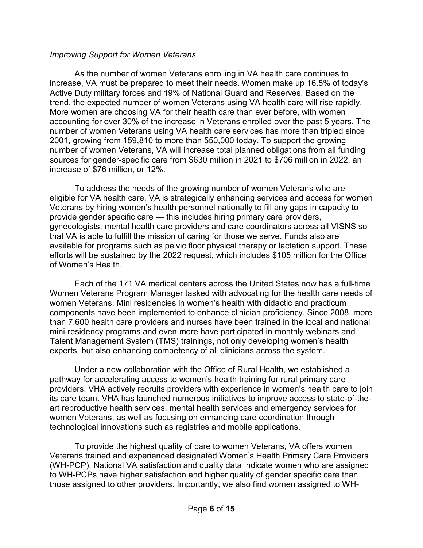#### *Improving Support for Women Veterans*

As the number of women Veterans enrolling in VA health care continues to increase, VA must be prepared to meet their needs. Women make up 16.5% of today's Active Duty military forces and 19% of National Guard and Reserves. Based on the trend, the expected number of women Veterans using VA health care will rise rapidly. More women are choosing VA for their health care than ever before, with women accounting for over 30% of the increase in Veterans enrolled over the past 5 years. The number of women Veterans using VA health care services has more than tripled since 2001, growing from 159,810 to more than 550,000 today. To support the growing number of women Veterans, VA will increase total planned obligations from all funding sources for gender-specific care from \$630 million in 2021 to \$706 million in 2022, an increase of \$76 million, or 12%.

To address the needs of the growing number of women Veterans who are eligible for VA health care, VA is strategically enhancing services and access for women Veterans by hiring women's health personnel nationally to fill any gaps in capacity to provide gender specific care — this includes hiring primary care providers, gynecologists, mental health care providers and care coordinators across all VISNS so that VA is able to fulfill the mission of caring for those we serve. Funds also are available for programs such as pelvic floor physical therapy or lactation support. These efforts will be sustained by the 2022 request, which includes \$105 million for the Office of Women's Health.

Each of the 171 VA medical centers across the United States now has a full-time Women Veterans Program Manager tasked with advocating for the health care needs of women Veterans. Mini residencies in women's health with didactic and practicum components have been implemented to enhance clinician proficiency. Since 2008, more than 7,600 health care providers and nurses have been trained in the local and national mini-residency programs and even more have participated in monthly webinars and Talent Management System (TMS) trainings, not only developing women's health experts, but also enhancing competency of all clinicians across the system.

Under a new collaboration with the Office of Rural Health, we established a pathway for accelerating access to women's health training for rural primary care providers. VHA actively recruits providers with experience in women's health care to join its care team. VHA has launched numerous initiatives to improve access to state-of-theart reproductive health services, mental health services and emergency services for women Veterans, as well as focusing on enhancing care coordination through technological innovations such as registries and mobile applications.

To provide the highest quality of care to women Veterans, VA offers women Veterans trained and experienced designated Women's Health Primary Care Providers (WH-PCP). National VA satisfaction and quality data indicate women who are assigned to WH-PCPs have higher satisfaction and higher quality of gender specific care than those assigned to other providers. Importantly, we also find women assigned to WH-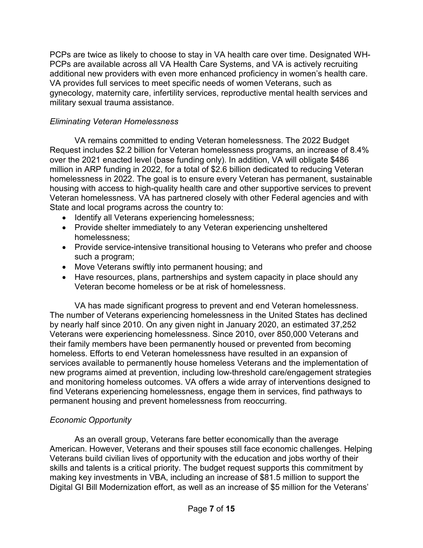PCPs are twice as likely to choose to stay in VA health care over time. Designated WH-PCPs are available across all VA Health Care Systems, and VA is actively recruiting additional new providers with even more enhanced proficiency in women's health care. VA provides full services to meet specific needs of women Veterans, such as gynecology, maternity care, infertility services, reproductive mental health services and military sexual trauma assistance.

#### *Eliminating Veteran Homelessness*

VA remains committed to ending Veteran homelessness. The 2022 Budget Request includes \$2.2 billion for Veteran homelessness programs, an increase of 8.4% over the 2021 enacted level (base funding only). In addition, VA will obligate \$486 million in ARP funding in 2022, for a total of \$2.6 billion dedicated to reducing Veteran homelessness in 2022. The goal is to ensure every Veteran has permanent, sustainable housing with access to high-quality health care and other supportive services to prevent Veteran homelessness. VA has partnered closely with other Federal agencies and with State and local programs across the country to:

- Identify all Veterans experiencing homelessness;
- Provide shelter immediately to any Veteran experiencing unsheltered homelessness;
- Provide service-intensive transitional housing to Veterans who prefer and choose such a program;
- Move Veterans swiftly into permanent housing; and
- Have resources, plans, partnerships and system capacity in place should any Veteran become homeless or be at risk of homelessness.

VA has made significant progress to prevent and end Veteran homelessness. The number of Veterans experiencing homelessness in the United States has declined by nearly half since 2010. On any given night in January 2020, an estimated 37,252 Veterans were experiencing homelessness. Since 2010, over 850,000 Veterans and their family members have been permanently housed or prevented from becoming homeless. Efforts to end Veteran homelessness have resulted in an expansion of services available to permanently house homeless Veterans and the implementation of new programs aimed at prevention, including low-threshold care/engagement strategies and monitoring homeless outcomes. VA offers a wide array of interventions designed to find Veterans experiencing homelessness, engage them in services, find pathways to permanent housing and prevent homelessness from reoccurring.

#### *Economic Opportunity*

As an overall group, Veterans fare better economically than the average American. However, Veterans and their spouses still face economic challenges. Helping Veterans build civilian lives of opportunity with the education and jobs worthy of their skills and talents is a critical priority. The budget request supports this commitment by making key investments in VBA, including an increase of \$81.5 million to support the Digital GI Bill Modernization effort, as well as an increase of \$5 million for the Veterans'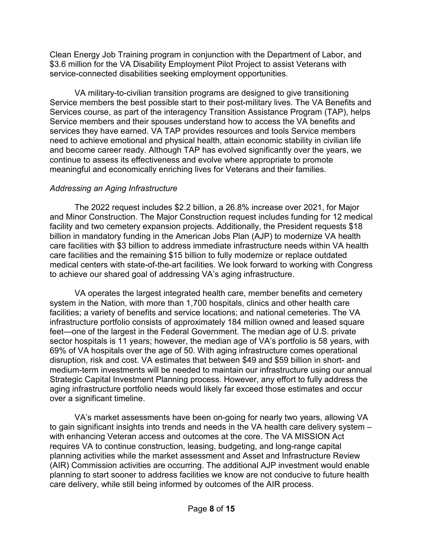Clean Energy Job Training program in conjunction with the Department of Labor, and \$3.6 million for the VA Disability Employment Pilot Project to assist Veterans with service-connected disabilities seeking employment opportunities.

VA military-to-civilian transition programs are designed to give transitioning Service members the best possible start to their post-military lives. The VA Benefits and Services course, as part of the interagency Transition Assistance Program (TAP), helps Service members and their spouses understand how to access the VA benefits and services they have earned. VA TAP provides resources and tools Service members need to achieve emotional and physical health, attain economic stability in civilian life and become career ready. Although TAP has evolved significantly over the years, we continue to assess its effectiveness and evolve where appropriate to promote meaningful and economically enriching lives for Veterans and their families.

## *Addressing an Aging Infrastructure*

The 2022 request includes \$2.2 billion, a 26.8% increase over 2021, for Major and Minor Construction. The Major Construction request includes funding for 12 medical facility and two cemetery expansion projects. Additionally, the President requests \$18 billion in mandatory funding in the American Jobs Plan (AJP) to modernize VA health care facilities with \$3 billion to address immediate infrastructure needs within VA health care facilities and the remaining \$15 billion to fully modernize or replace outdated medical centers with state-of-the-art facilities. We look forward to working with Congress to achieve our shared goal of addressing VA's aging infrastructure.

VA operates the largest integrated health care, member benefits and cemetery system in the Nation, with more than 1,700 hospitals, clinics and other health care facilities; a variety of benefits and service locations; and national cemeteries. The VA infrastructure portfolio consists of approximately 184 million owned and leased square feet—one of the largest in the Federal Government. The median age of U.S. private sector hospitals is 11 years; however, the median age of VA's portfolio is 58 years, with 69% of VA hospitals over the age of 50. With aging infrastructure comes operational disruption, risk and cost. VA estimates that between \$49 and \$59 billion in short- and medium-term investments will be needed to maintain our infrastructure using our annual Strategic Capital Investment Planning process. However, any effort to fully address the aging infrastructure portfolio needs would likely far exceed those estimates and occur over a significant timeline.

VA's market assessments have been on-going for nearly two years, allowing VA to gain significant insights into trends and needs in the VA health care delivery system – with enhancing Veteran access and outcomes at the core. The VA MISSION Act requires VA to continue construction, leasing, budgeting, and long-range capital planning activities while the market assessment and Asset and Infrastructure Review (AIR) Commission activities are occurring. The additional AJP investment would enable planning to start sooner to address facilities we know are not conducive to future health care delivery, while still being informed by outcomes of the AIR process.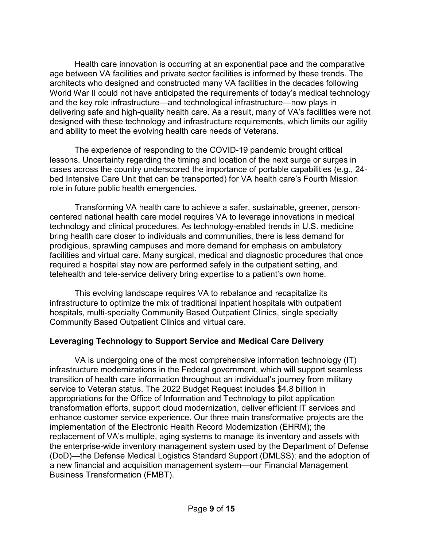Health care innovation is occurring at an exponential pace and the comparative age between VA facilities and private sector facilities is informed by these trends. The architects who designed and constructed many VA facilities in the decades following World War II could not have anticipated the requirements of today's medical technology and the key role infrastructure—and technological infrastructure—now plays in delivering safe and high-quality health care. As a result, many of VA's facilities were not designed with these technology and infrastructure requirements, which limits our agility and ability to meet the evolving health care needs of Veterans.

The experience of responding to the COVID-19 pandemic brought critical lessons. Uncertainty regarding the timing and location of the next surge or surges in cases across the country underscored the importance of portable capabilities (e.g., 24 bed Intensive Care Unit that can be transported) for VA health care's Fourth Mission role in future public health emergencies.

Transforming VA health care to achieve a safer, sustainable, greener, personcentered national health care model requires VA to leverage innovations in medical technology and clinical procedures. As technology-enabled trends in U.S. medicine bring health care closer to individuals and communities, there is less demand for prodigious, sprawling campuses and more demand for emphasis on ambulatory facilities and virtual care. Many surgical, medical and diagnostic procedures that once required a hospital stay now are performed safely in the outpatient setting, and telehealth and tele-service delivery bring expertise to a patient's own home.

This evolving landscape requires VA to rebalance and recapitalize its infrastructure to optimize the mix of traditional inpatient hospitals with outpatient hospitals, multi-specialty Community Based Outpatient Clinics, single specialty Community Based Outpatient Clinics and virtual care.

#### **Leveraging Technology to Support Service and Medical Care Delivery**

VA is undergoing one of the most comprehensive information technology (IT) infrastructure modernizations in the Federal government, which will support seamless transition of health care information throughout an individual's journey from military service to Veteran status. The 2022 Budget Request includes \$4.8 billion in appropriations for the Office of Information and Technology to pilot application transformation efforts, support cloud modernization, deliver efficient IT services and enhance customer service experience. Our three main transformative projects are the implementation of the Electronic Health Record Modernization (EHRM); the replacement of VA's multiple, aging systems to manage its inventory and assets with the enterprise-wide inventory management system used by the Department of Defense (DoD)—the Defense Medical Logistics Standard Support (DMLSS); and the adoption of a new financial and acquisition management system—our Financial Management Business Transformation (FMBT).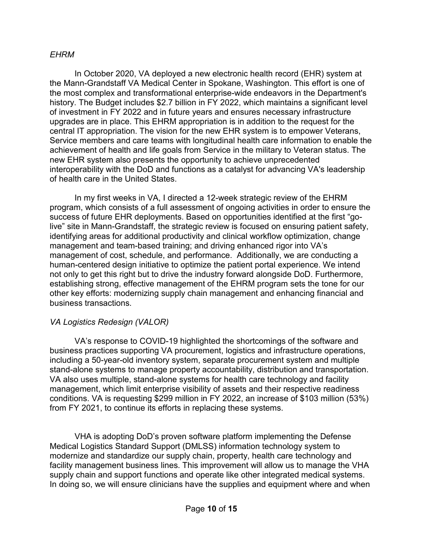#### *EHRM*

In October 2020, VA deployed a new electronic health record (EHR) system at the Mann-Grandstaff VA Medical Center in Spokane, Washington. This effort is one of the most complex and transformational enterprise-wide endeavors in the Department's history. The Budget includes \$2.7 billion in FY 2022, which maintains a significant level of investment in FY 2022 and in future years and ensures necessary infrastructure upgrades are in place. This EHRM appropriation is in addition to the request for the central IT appropriation. The vision for the new EHR system is to empower Veterans, Service members and care teams with longitudinal health care information to enable the achievement of health and life goals from Service in the military to Veteran status. The new EHR system also presents the opportunity to achieve unprecedented interoperability with the DoD and functions as a catalyst for advancing VA's leadership of health care in the United States.

In my first weeks in VA, I directed a 12-week strategic review of the EHRM program, which consists of a full assessment of ongoing activities in order to ensure the success of future EHR deployments. Based on opportunities identified at the first "golive" site in Mann-Grandstaff, the strategic review is focused on ensuring patient safety, identifying areas for additional productivity and clinical workflow optimization, change management and team-based training; and driving enhanced rigor into VA's management of cost, schedule, and performance. Additionally, we are conducting a human-centered design initiative to optimize the patient portal experience. We intend not only to get this right but to drive the industry forward alongside DoD. Furthermore, establishing strong, effective management of the EHRM program sets the tone for our other key efforts: modernizing supply chain management and enhancing financial and business transactions.

#### *VA Logistics Redesign (VALOR)*

VA's response to COVID-19 highlighted the shortcomings of the software and business practices supporting VA procurement, logistics and infrastructure operations, including a 50-year-old inventory system, separate procurement system and multiple stand-alone systems to manage property accountability, distribution and transportation. VA also uses multiple, stand-alone systems for health care technology and facility management, which limit enterprise visibility of assets and their respective readiness conditions. VA is requesting \$299 million in FY 2022, an increase of \$103 million (53%) from FY 2021, to continue its efforts in replacing these systems.

VHA is adopting DoD's proven software platform implementing the Defense Medical Logistics Standard Support (DMLSS) information technology system to modernize and standardize our supply chain, property, health care technology and facility management business lines. This improvement will allow us to manage the VHA supply chain and support functions and operate like other integrated medical systems. In doing so, we will ensure clinicians have the supplies and equipment where and when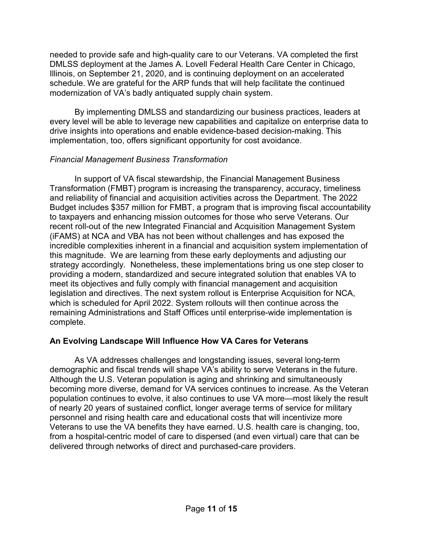needed to provide safe and high-quality care to our Veterans. VA completed the first DMLSS deployment at the James A. Lovell Federal Health Care Center in Chicago, Illinois, on September 21, 2020, and is continuing deployment on an accelerated schedule. We are grateful for the ARP funds that will help facilitate the continued modernization of VA's badly antiquated supply chain system.

By implementing DMLSS and standardizing our business practices, leaders at every level will be able to leverage new capabilities and capitalize on enterprise data to drive insights into operations and enable evidence-based decision-making. This implementation, too, offers significant opportunity for cost avoidance.

## *Financial Management Business Transformation*

In support of VA fiscal stewardship, the Financial Management Business Transformation (FMBT) program is increasing the transparency, accuracy, timeliness and reliability of financial and acquisition activities across the Department. The 2022 Budget includes \$357 million for FMBT, a program that is improving fiscal accountability to taxpayers and enhancing mission outcomes for those who serve Veterans. Our recent roll-out of the new Integrated Financial and Acquisition Management System (iFAMS) at NCA and VBA has not been without challenges and has exposed the incredible complexities inherent in a financial and acquisition system implementation of this magnitude. We are learning from these early deployments and adjusting our strategy accordingly. Nonetheless, these implementations bring us one step closer to providing a modern, standardized and secure integrated solution that enables VA to meet its objectives and fully comply with financial management and acquisition legislation and directives. The next system rollout is Enterprise Acquisition for NCA, which is scheduled for April 2022. System rollouts will then continue across the remaining Administrations and Staff Offices until enterprise-wide implementation is complete.

# **An Evolving Landscape Will Influence How VA Cares for Veterans**

As VA addresses challenges and longstanding issues, several long-term demographic and fiscal trends will shape VA's ability to serve Veterans in the future. Although the U.S. Veteran population is aging and shrinking and simultaneously becoming more diverse, demand for VA services continues to increase. As the Veteran population continues to evolve, it also continues to use VA more—most likely the result of nearly 20 years of sustained conflict, longer average terms of service for military personnel and rising health care and educational costs that will incentivize more Veterans to use the VA benefits they have earned. U.S. health care is changing, too, from a hospital-centric model of care to dispersed (and even virtual) care that can be delivered through networks of direct and purchased-care providers.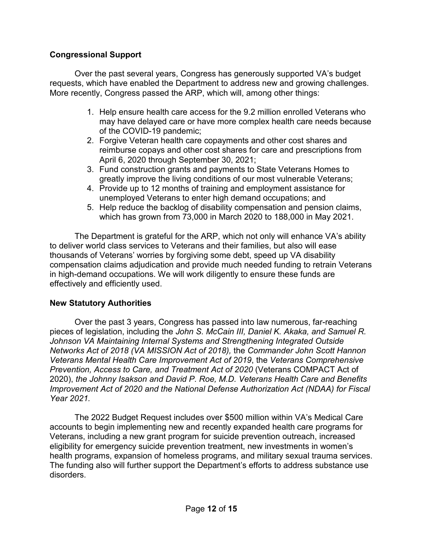## **Congressional Support**

Over the past several years, Congress has generously supported VA's budget requests, which have enabled the Department to address new and growing challenges. More recently, Congress passed the ARP, which will, among other things:

- 1. Help ensure health care access for the 9.2 million enrolled Veterans who may have delayed care or have more complex health care needs because of the COVID-19 pandemic;
- 2. Forgive Veteran health care copayments and other cost shares and reimburse copays and other cost shares for care and prescriptions from April 6, 2020 through September 30, 2021;
- 3. Fund construction grants and payments to State Veterans Homes to greatly improve the living conditions of our most vulnerable Veterans;
- 4. Provide up to 12 months of training and employment assistance for unemployed Veterans to enter high demand occupations; and
- 5. Help reduce the backlog of disability compensation and pension claims, which has grown from 73,000 in March 2020 to 188,000 in May 2021.

The Department is grateful for the ARP, which not only will enhance VA's ability to deliver world class services to Veterans and their families, but also will ease thousands of Veterans' worries by forgiving some debt, speed up VA disability compensation claims adjudication and provide much needed funding to retrain Veterans in high-demand occupations. We will work diligently to ensure these funds are effectively and efficiently used.

#### **New Statutory Authorities**

Over the past 3 years, Congress has passed into law numerous, far-reaching pieces of legislation, including the *John S. McCain III, Daniel K. Akaka, and Samuel R. Johnson VA Maintaining Internal Systems and Strengthening Integrated Outside Networks Act of 2018 (VA MISSION Act of 2018),* the *Commander John Scott Hannon Veterans Mental Health Care Improvement Act of 2019*, the *Veterans Comprehensive Prevention, Access to Care, and Treatment Act of 2020* (Veterans COMPACT Act of 2020), *the Johnny Isakson and David P. Roe, M.D. Veterans Health Care and Benefits Improvement Act of 2020 and the National Defense Authorization Act (NDAA) for Fiscal Year 2021.*

The 2022 Budget Request includes over \$500 million within VA's Medical Care accounts to begin implementing new and recently expanded health care programs for Veterans, including a new grant program for suicide prevention outreach, increased eligibility for emergency suicide prevention treatment, new investments in women's health programs, expansion of homeless programs, and military sexual trauma services. The funding also will further support the Department's efforts to address substance use disorders.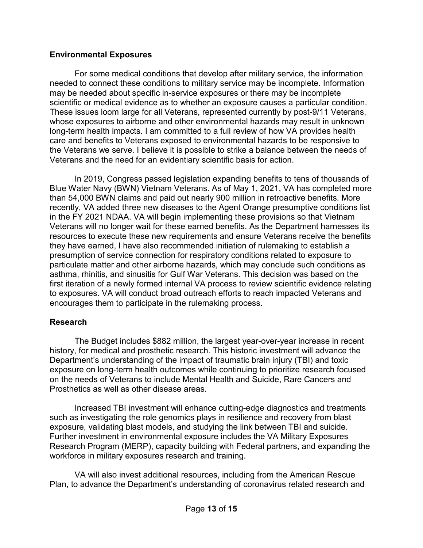#### **Environmental Exposures**

For some medical conditions that develop after military service, the information needed to connect these conditions to military service may be incomplete. Information may be needed about specific in-service exposures or there may be incomplete scientific or medical evidence as to whether an exposure causes a particular condition. These issues loom large for all Veterans, represented currently by post-9/11 Veterans, whose exposures to airborne and other environmental hazards may result in unknown long-term health impacts. I am committed to a full review of how VA provides health care and benefits to Veterans exposed to environmental hazards to be responsive to the Veterans we serve. I believe it is possible to strike a balance between the needs of Veterans and the need for an evidentiary scientific basis for action.

In 2019, Congress passed legislation expanding benefits to tens of thousands of Blue Water Navy (BWN) Vietnam Veterans. As of May 1, 2021, VA has completed more than 54,000 BWN claims and paid out nearly 900 million in retroactive benefits. More recently, VA added three new diseases to the Agent Orange presumptive conditions list in the FY 2021 NDAA. VA will begin implementing these provisions so that Vietnam Veterans will no longer wait for these earned benefits. As the Department harnesses its resources to execute these new requirements and ensure Veterans receive the benefits they have earned, I have also recommended initiation of rulemaking to establish a presumption of service connection for respiratory conditions related to exposure to particulate matter and other airborne hazards, which may conclude such conditions as asthma, rhinitis, and sinusitis for Gulf War Veterans. This decision was based on the first iteration of a newly formed internal VA process to review scientific evidence relating to exposures. VA will conduct broad outreach efforts to reach impacted Veterans and encourages them to participate in the rulemaking process.

# **Research**

The Budget includes \$882 million, the largest year-over-year increase in recent history, for medical and prosthetic research. This historic investment will advance the Department's understanding of the impact of traumatic brain injury (TBI) and toxic exposure on long-term health outcomes while continuing to prioritize research focused on the needs of Veterans to include Mental Health and Suicide, Rare Cancers and Prosthetics as well as other disease areas.

Increased TBI investment will enhance cutting-edge diagnostics and treatments such as investigating the role genomics plays in resilience and recovery from blast exposure, validating blast models, and studying the link between TBI and suicide. Further investment in environmental exposure includes the VA Military Exposures Research Program (MERP), capacity building with Federal partners, and expanding the workforce in military exposures research and training.

VA will also invest additional resources, including from the American Rescue Plan, to advance the Department's understanding of coronavirus related research and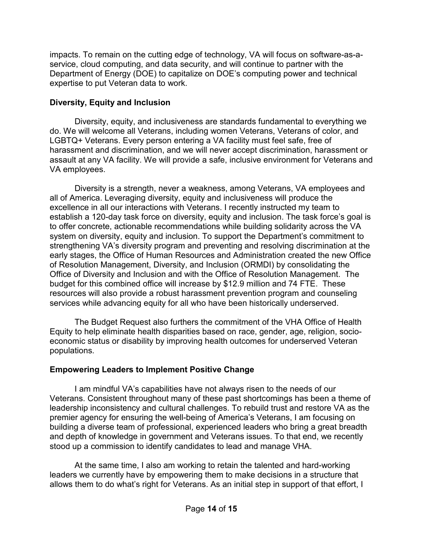impacts. To remain on the cutting edge of technology, VA will focus on software-as-aservice, cloud computing, and data security, and will continue to partner with the Department of Energy (DOE) to capitalize on DOE's computing power and technical expertise to put Veteran data to work.

## **Diversity, Equity and Inclusion**

Diversity, equity, and inclusiveness are standards fundamental to everything we do. We will welcome all Veterans, including women Veterans, Veterans of color, and LGBTQ+ Veterans. Every person entering a VA facility must feel safe, free of harassment and discrimination, and we will never accept discrimination, harassment or assault at any VA facility. We will provide a safe, inclusive environment for Veterans and VA employees.

Diversity is a strength, never a weakness, among Veterans, VA employees and all of America. Leveraging diversity, equity and inclusiveness will produce the excellence in all our interactions with Veterans. I recently instructed my team to establish a 120-day task force on diversity, equity and inclusion. The task force's goal is to offer concrete, actionable recommendations while building solidarity across the VA system on diversity, equity and inclusion. To support the Department's commitment to strengthening VA's diversity program and preventing and resolving discrimination at the early stages, the Office of Human Resources and Administration created the new Office of Resolution Management, Diversity, and Inclusion (ORMDI) by consolidating the Office of Diversity and Inclusion and with the Office of Resolution Management. The budget for this combined office will increase by \$12.9 million and 74 FTE. These resources will also provide a robust harassment prevention program and counseling services while advancing equity for all who have been historically underserved.

The Budget Request also furthers the commitment of the VHA Office of Health Equity to help eliminate health disparities based on race, gender, age, religion, socioeconomic status or disability by improving health outcomes for underserved Veteran populations.

# **Empowering Leaders to Implement Positive Change**

I am mindful VA's capabilities have not always risen to the needs of our Veterans. Consistent throughout many of these past shortcomings has been a theme of leadership inconsistency and cultural challenges. To rebuild trust and restore VA as the premier agency for ensuring the well-being of America's Veterans, I am focusing on building a diverse team of professional, experienced leaders who bring a great breadth and depth of knowledge in government and Veterans issues. To that end, we recently stood up a commission to identify candidates to lead and manage VHA.

At the same time, I also am working to retain the talented and hard-working leaders we currently have by empowering them to make decisions in a structure that allows them to do what's right for Veterans. As an initial step in support of that effort, I